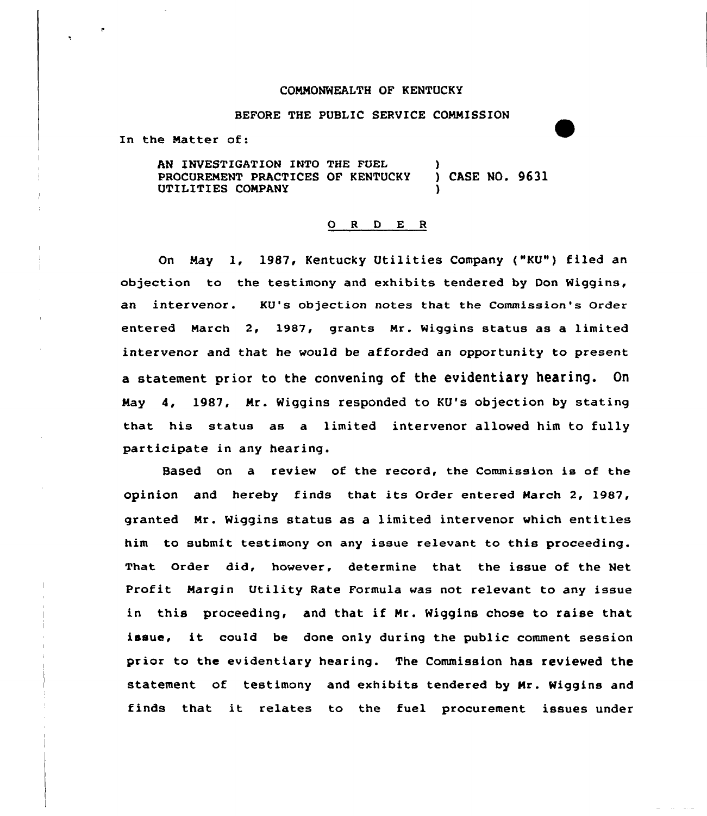## COMMONWEALTH OF KENTUCKY

## BEFORE THE PUBLIC SERVICE COMMISSION

In the Matter of:

AN INVESTIGATION INTO THE FUEL (2008)<br>PROCUREMENT PRACTICES OF KENTUCKY (2008) DASE NO. 9631 PROCUREMENT PRACTICES OF KENTUCKY UTILITIES COMPANY )

## 0 <sup>R</sup> <sup>D</sup> E <sup>R</sup>

On May 1, 1987, Kentucky Utilities Company ("KU") filed an objection to the testimony and exhibits tendered by Don Wiggins, an intervenor. KU's objection notes that the Commission's Order entered March 2, 1987, grants Mr. Wiggins status as a limited intervenor and that he would be afforded an opportunity to present a statement prior to the convening of the evidentiary heating. On May 4, 1987, Mr. Wiggins responded to KU's objection by stating that his status as a limited intervenor allowed him to fully participate in any hearing.

Based on a review of the record, the Commission ia of the opinion and hereby finds that its Order entered March 2, 1987, granted Mr. Wiggins status as a limited intervenor which entitles him to submit testimony on any issue relevant to this proceeding. That Order did, however, determine that the issue of the Net Profit Margin Utility Rate Formula was not relevant to any issue in this proceeding, and that if Mr. Wiggins chose to raise that issue, it could be done only during the public comment session prior to the evidentiary hearing. The Commission has reviewed the statement of testimony and exhibits tendered by Mr. Wiggins and finds that it relates to the fuel procurement issues under